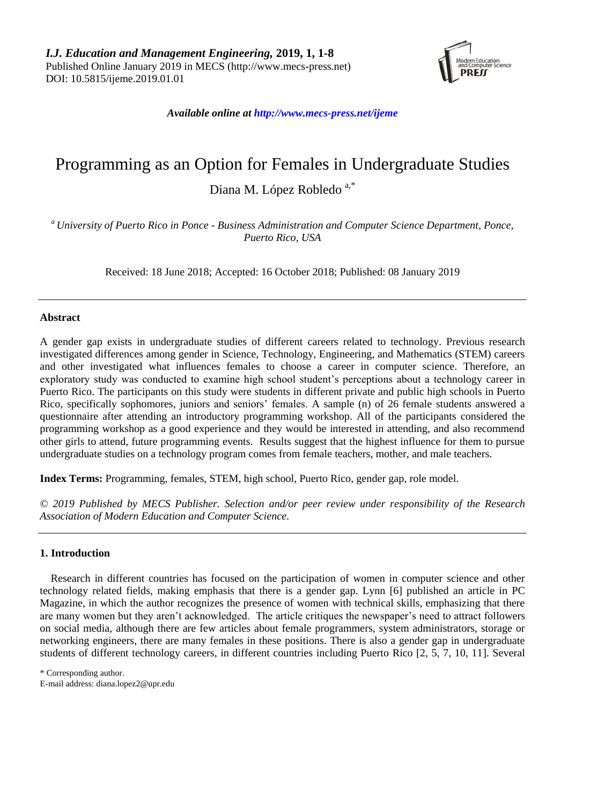

*Available online a[t http://www.mecs-press.net/ijeme](http://www.mecs-press.net/ijeme)*

# Programming as an Option for Females in Undergraduate Studies

Diana M. López Robledo<sup>a,\*</sup>

*<sup>a</sup> University of Puerto Rico in Ponce - Business Administration and Computer Science Department, Ponce, Puerto Rico, USA*

Received: 18 June 2018; Accepted: 16 October 2018; Published: 08 January 2019

# **Abstract**

A gender gap exists in undergraduate studies of different careers related to technology. Previous research investigated differences among gender in Science, Technology, Engineering, and Mathematics (STEM) careers and other investigated what influences females to choose a career in computer science. Therefore, an exploratory study was conducted to examine high school student's perceptions about a technology career in Puerto Rico. The participants on this study were students in different private and public high schools in Puerto Rico, specifically sophomores, juniors and seniors' females. A sample (n) of 26 female students answered a questionnaire after attending an introductory programming workshop. All of the participants considered the programming workshop as a good experience and they would be interested in attending, and also recommend other girls to attend, future programming events. Results suggest that the highest influence for them to pursue undergraduate studies on a technology program comes from female teachers, mother, and male teachers.

**Index Terms:** Programming, females, STEM, high school, Puerto Rico, gender gap, role model.

*© 2019 Published by MECS Publisher. Selection and/or peer review under responsibility of the Research Association of Modern Education and Computer Science.*

# **1. Introduction**

Research in different countries has focused on the participation of women in computer science and other technology related fields, making emphasis that there is a gender gap. Lynn [6] published an article in PC Magazine, in which the author recognizes the presence of women with technical skills, emphasizing that there are many women but they aren't acknowledged. The article critiques the newspaper's need to attract followers on social media, although there are few articles about female programmers, system administrators, storage or networking engineers, there are many females in these positions. There is also a gender gap in undergraduate students of different technology careers, in different countries including Puerto Rico [2, 5, 7, 10, 11]. Several

\* Corresponding author.

E-mail address: diana.lopez2@upr.edu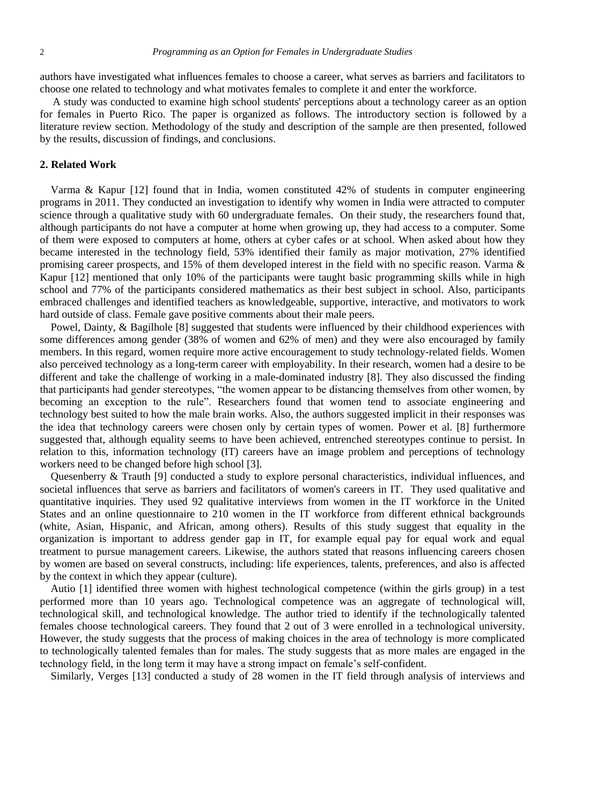authors have investigated what influences females to choose a career, what serves as barriers and facilitators to choose one related to technology and what motivates females to complete it and enter the workforce.

A study was conducted to examine high school students' perceptions about a technology career as an option for females in Puerto Rico. The paper is organized as follows. The introductory section is followed by a literature review section. Methodology of the study and description of the sample are then presented, followed by the results, discussion of findings, and conclusions.

## **2. Related Work**

Varma & Kapur [12] found that in India, women constituted 42% of students in computer engineering programs in 2011. They conducted an investigation to identify why women in India were attracted to computer science through a qualitative study with 60 undergraduate females. On their study, the researchers found that, although participants do not have a computer at home when growing up, they had access to a computer. Some of them were exposed to computers at home, others at cyber cafes or at school. When asked about how they became interested in the technology field, 53% identified their family as major motivation, 27% identified promising career prospects, and 15% of them developed interest in the field with no specific reason. Varma & Kapur [12] mentioned that only 10% of the participants were taught basic programming skills while in high school and 77% of the participants considered mathematics as their best subject in school. Also, participants embraced challenges and identified teachers as knowledgeable, supportive, interactive, and motivators to work hard outside of class. Female gave positive comments about their male peers.

Powel, Dainty, & Bagilhole [8] suggested that students were influenced by their childhood experiences with some differences among gender (38% of women and 62% of men) and they were also encouraged by family members. In this regard, women require more active encouragement to study technology-related fields. Women also perceived technology as a long-term career with employability. In their research, women had a desire to be different and take the challenge of working in a male-dominated industry [8]. They also discussed the finding that participants had gender stereotypes, "the women appear to be distancing themselves from other women, by becoming an exception to the rule". Researchers found that women tend to associate engineering and technology best suited to how the male brain works. Also, the authors suggested implicit in their responses was the idea that technology careers were chosen only by certain types of women. Power et al. [8] furthermore suggested that, although equality seems to have been achieved, entrenched stereotypes continue to persist. In relation to this, information technology (IT) careers have an image problem and perceptions of technology workers need to be changed before high school [3].

Quesenberry & Trauth [9] conducted a study to explore personal characteristics, individual influences, and societal influences that serve as barriers and facilitators of women's careers in IT. They used qualitative and quantitative inquiries. They used 92 qualitative interviews from women in the IT workforce in the United States and an online questionnaire to 210 women in the IT workforce from different ethnical backgrounds (white, Asian, Hispanic, and African, among others). Results of this study suggest that equality in the organization is important to address gender gap in IT, for example equal pay for equal work and equal treatment to pursue management careers. Likewise, the authors stated that reasons influencing careers chosen by women are based on several constructs, including: life experiences, talents, preferences, and also is affected by the context in which they appear (culture).

Autio [1] identified three women with highest technological competence (within the girls group) in a test performed more than 10 years ago. Technological competence was an aggregate of technological will, technological skill, and technological knowledge. The author tried to identify if the technologically talented females choose technological careers. They found that 2 out of 3 were enrolled in a technological university. However, the study suggests that the process of making choices in the area of technology is more complicated to technologically talented females than for males. The study suggests that as more males are engaged in the technology field, in the long term it may have a strong impact on female's self-confident.

Similarly, Verges [13] conducted a study of 28 women in the IT field through analysis of interviews and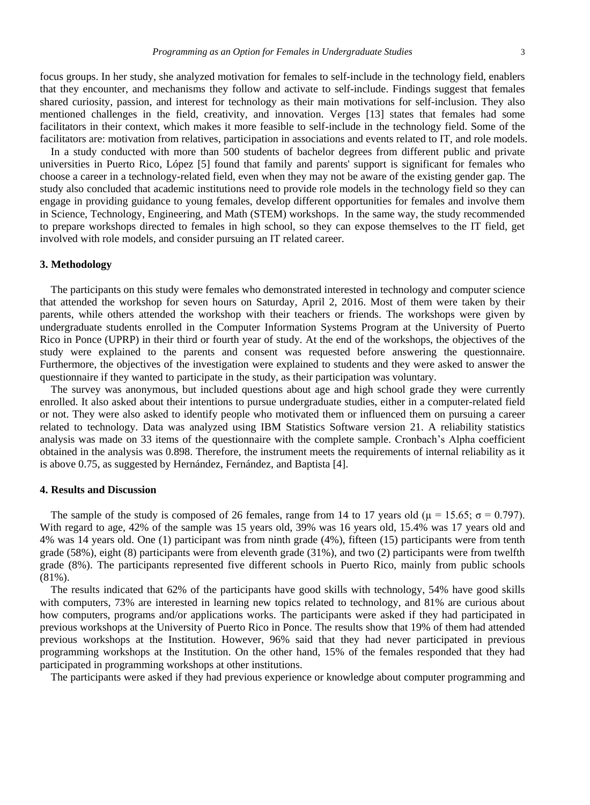focus groups. In her study, she analyzed motivation for females to self-include in the technology field, enablers that they encounter, and mechanisms they follow and activate to self-include. Findings suggest that females shared curiosity, passion, and interest for technology as their main motivations for self-inclusion. They also mentioned challenges in the field, creativity, and innovation. Verges [13] states that females had some facilitators in their context, which makes it more feasible to self-include in the technology field. Some of the facilitators are: motivation from relatives, participation in associations and events related to IT, and role models.

In a study conducted with more than 500 students of bachelor degrees from different public and private universities in Puerto Rico, López [5] found that family and parents' support is significant for females who choose a career in a technology-related field, even when they may not be aware of the existing gender gap. The study also concluded that academic institutions need to provide role models in the technology field so they can engage in providing guidance to young females, develop different opportunities for females and involve them in Science, Technology, Engineering, and Math (STEM) workshops. In the same way, the study recommended to prepare workshops directed to females in high school, so they can expose themselves to the IT field, get involved with role models, and consider pursuing an IT related career.

#### **3. Methodology**

The participants on this study were females who demonstrated interested in technology and computer science that attended the workshop for seven hours on Saturday, April 2, 2016. Most of them were taken by their parents, while others attended the workshop with their teachers or friends. The workshops were given by undergraduate students enrolled in the Computer Information Systems Program at the University of Puerto Rico in Ponce (UPRP) in their third or fourth year of study. At the end of the workshops, the objectives of the study were explained to the parents and consent was requested before answering the questionnaire. Furthermore, the objectives of the investigation were explained to students and they were asked to answer the questionnaire if they wanted to participate in the study, as their participation was voluntary.

The survey was anonymous, but included questions about age and high school grade they were currently enrolled. It also asked about their intentions to pursue undergraduate studies, either in a computer-related field or not. They were also asked to identify people who motivated them or influenced them on pursuing a career related to technology. Data was analyzed using IBM Statistics Software version 21. A reliability statistics analysis was made on 33 items of the questionnaire with the complete sample. Cronbach's Alpha coefficient obtained in the analysis was 0.898. Therefore, the instrument meets the requirements of internal reliability as it is above 0.75, as suggested by Hern ández, Fern ández, and Baptista [4].

## **4. Results and Discussion**

The sample of the study is composed of 26 females, range from 14 to 17 years old ( $\mu$  = 15.65;  $\sigma$  = 0.797). With regard to age, 42% of the sample was 15 years old, 39% was 16 years old, 15.4% was 17 years old and 4% was 14 years old. One (1) participant was from ninth grade (4%), fifteen (15) participants were from tenth grade (58%), eight (8) participants were from eleventh grade (31%), and two (2) participants were from twelfth grade (8%). The participants represented five different schools in Puerto Rico, mainly from public schools (81%).

The results indicated that 62% of the participants have good skills with technology, 54% have good skills with computers, 73% are interested in learning new topics related to technology, and 81% are curious about how computers, programs and/or applications works. The participants were asked if they had participated in previous workshops at the University of Puerto Rico in Ponce. The results show that 19% of them had attended previous workshops at the Institution. However, 96% said that they had never participated in previous programming workshops at the Institution. On the other hand, 15% of the females responded that they had participated in programming workshops at other institutions.

The participants were asked if they had previous experience or knowledge about computer programming and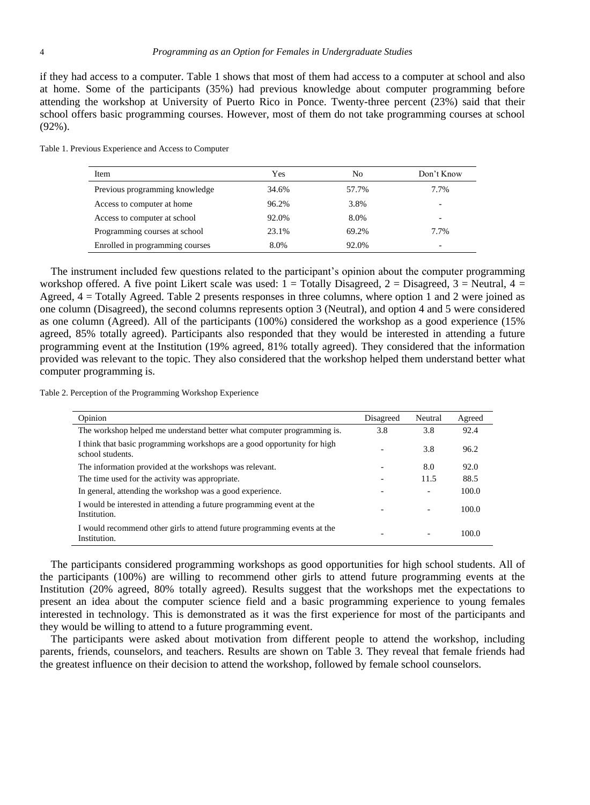if they had access to a computer. Table 1 shows that most of them had access to a computer at school and also at home. Some of the participants (35%) had previous knowledge about computer programming before attending the workshop at University of Puerto Rico in Ponce. Twenty-three percent (23%) said that their school offers basic programming courses. However, most of them do not take programming courses at school (92%).

| Item                            | Yes   | No    | Don't Know |
|---------------------------------|-------|-------|------------|
| Previous programming knowledge  | 34.6% | 57.7% | 7.7%       |
| Access to computer at home      | 96.2% | 3.8%  | -          |
| Access to computer at school    | 92.0% | 8.0%  | -          |
| Programming courses at school   | 23.1% | 69.2% | 7.7%       |
| Enrolled in programming courses | 8.0%  | 92.0% | -          |

Table 1. Previous Experience and Access to Computer

The instrument included few questions related to the participant's opinion about the computer programming workshop offered. A five point Likert scale was used:  $1 = \text{Totally Disagreed}, 2 = \text{Disagreed}, 3 = \text{Neutral}, 4 = \text{Out}$ Agreed,  $4 = \text{Totallv Average}$ . Table 2 presents responses in three columns, where option 1 and 2 were joined as one column (Disagreed), the second columns represents option 3 (Neutral), and option 4 and 5 were considered as one column (Agreed). All of the participants (100%) considered the workshop as a good experience (15% agreed, 85% totally agreed). Participants also responded that they would be interested in attending a future programming event at the Institution (19% agreed, 81% totally agreed). They considered that the information provided was relevant to the topic. They also considered that the workshop helped them understand better what computer programming is.

Table 2. Perception of the Programming Workshop Experience

| Opinion                                                                                      | Disagreed | Neutral | Agreed |  |
|----------------------------------------------------------------------------------------------|-----------|---------|--------|--|
| The workshop helped me understand better what computer programming is.                       | 3.8       | 3.8     | 92.4   |  |
| I think that basic programming workshops are a good opportunity for high<br>school students. |           | 3.8     | 96.2   |  |
| The information provided at the workshops was relevant.                                      |           | 8.0     | 92.0   |  |
| The time used for the activity was appropriate.                                              |           | 11.5    | 88.5   |  |
| In general, attending the workshop was a good experience.                                    |           | ۰       | 100.0  |  |
| I would be interested in attending a future programming event at the<br>Institution.         |           | ۰       | 100.0  |  |
| I would recommend other girls to attend future programming events at the<br>Institution.     |           |         | 100.0  |  |

The participants considered programming workshops as good opportunities for high school students. All of the participants (100%) are willing to recommend other girls to attend future programming events at the Institution (20% agreed, 80% totally agreed). Results suggest that the workshops met the expectations to present an idea about the computer science field and a basic programming experience to young females interested in technology. This is demonstrated as it was the first experience for most of the participants and they would be willing to attend to a future programming event.

The participants were asked about motivation from different people to attend the workshop, including parents, friends, counselors, and teachers. Results are shown on Table 3. They reveal that female friends had the greatest influence on their decision to attend the workshop, followed by female school counselors.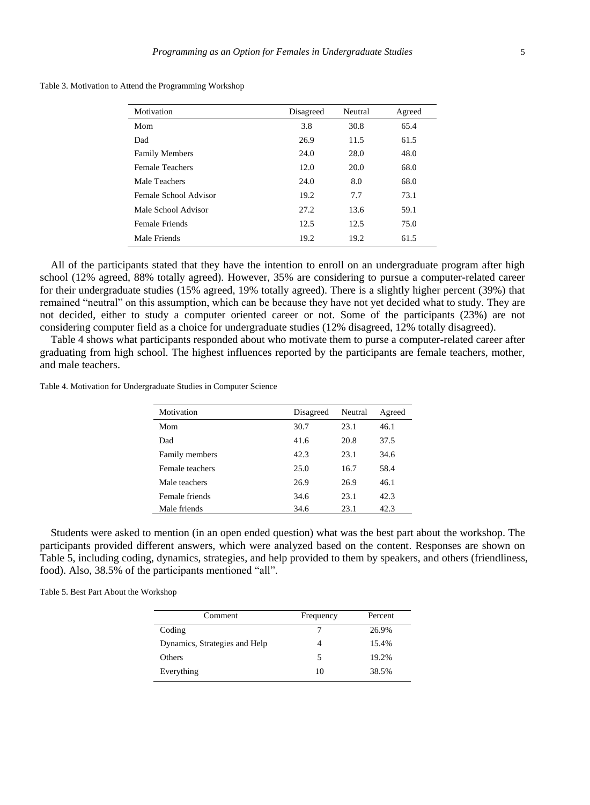Table 3. Motivation to Attend the Programming Workshop

| Disagreed | Neutral | Agreed |
|-----------|---------|--------|
| 3.8       | 30.8    | 65.4   |
| 26.9      | 11.5    | 61.5   |
| 24.0      | 28.0    | 48.0   |
| 12.0      | 20.0    | 68.0   |
| 24.0      | 8.0     | 68.0   |
| 19.2      | 7.7     | 73.1   |
| 27.2      | 13.6    | 59.1   |
| 12.5      | 12.5    | 75.0   |
| 19.2      | 19.2    | 61.5   |
|           |         |        |

All of the participants stated that they have the intention to enroll on an undergraduate program after high school (12% agreed, 88% totally agreed). However, 35% are considering to pursue a computer-related career for their undergraduate studies (15% agreed, 19% totally agreed). There is a slightly higher percent (39%) that remained "neutral" on this assumption, which can be because they have not yet decided what to study. They are not decided, either to study a computer oriented career or not. Some of the participants (23%) are not considering computer field as a choice for undergraduate studies (12% disagreed, 12% totally disagreed).

Table 4 shows what participants responded about who motivate them to purse a computer-related career after graduating from high school. The highest influences reported by the participants are female teachers, mother, and male teachers.

Table 4. Motivation for Undergraduate Studies in Computer Science

| Motivation      | Disagreed | Neutral | Agreed |
|-----------------|-----------|---------|--------|
| Mom             | 30.7      | 23.1    | 46.1   |
| Dad             | 41.6      | 20.8    | 37.5   |
| Family members  | 42.3      | 23.1    | 34.6   |
| Female teachers | 25.0      | 16.7    | 58.4   |
| Male teachers   | 26.9      | 26.9    | 46.1   |
| Female friends  | 34.6      | 23.1    | 42.3   |
| Male friends    | 34.6      | 23.1    | 42.3   |

Students were asked to mention (in an open ended question) what was the best part about the workshop. The participants provided different answers, which were analyzed based on the content. Responses are shown on Table 5, including coding, dynamics, strategies, and help provided to them by speakers, and others (friendliness, food). Also, 38.5% of the participants mentioned "all".

Table 5. Best Part About the Workshop

| Comment                       | Frequency | Percent |
|-------------------------------|-----------|---------|
| Coding                        |           | 26.9%   |
| Dynamics, Strategies and Help | 4         | 15.4%   |
| <b>Others</b>                 |           | 19.2%   |
| Everything                    | 10        | 38.5%   |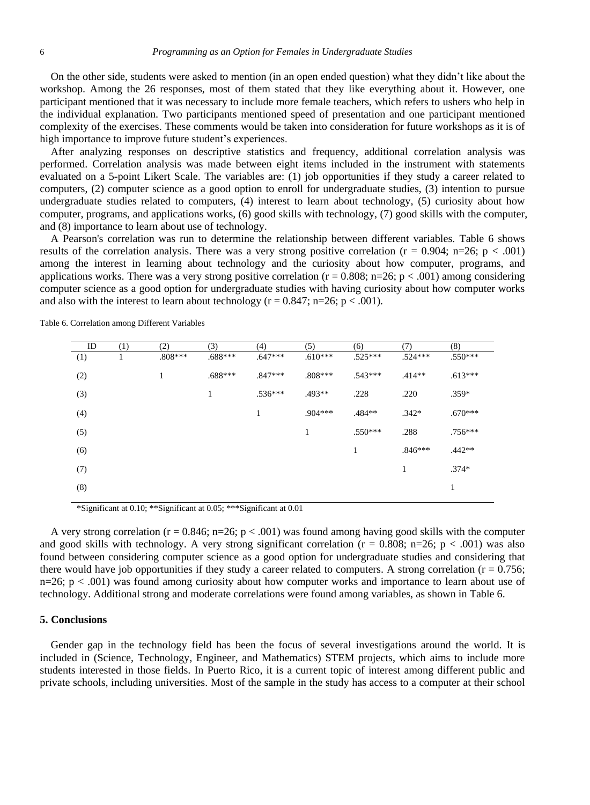On the other side, students were asked to mention (in an open ended question) what they didn't like about the workshop. Among the 26 responses, most of them stated that they like everything about it. However, one participant mentioned that it was necessary to include more female teachers, which refers to ushers who help in the individual explanation. Two participants mentioned speed of presentation and one participant mentioned complexity of the exercises. These comments would be taken into consideration for future workshops as it is of high importance to improve future student's experiences.

After analyzing responses on descriptive statistics and frequency, additional correlation analysis was performed. Correlation analysis was made between eight items included in the instrument with statements evaluated on a 5-point Likert Scale. The variables are: (1) job opportunities if they study a career related to computers, (2) computer science as a good option to enroll for undergraduate studies, (3) intention to pursue undergraduate studies related to computers, (4) interest to learn about technology, (5) curiosity about how computer, programs, and applications works, (6) good skills with technology, (7) good skills with the computer, and (8) importance to learn about use of technology.

A Pearson's correlation was run to determine the relationship between different variables. Table 6 shows results of the correlation analysis. There was a very strong positive correlation ( $r = 0.904$ ; n=26; p < .001) among the interest in learning about technology and the curiosity about how computer, programs, and applications works. There was a very strong positive correlation ( $r = 0.808$ ; n=26; p < .001) among considering computer science as a good option for undergraduate studies with having curiosity about how computer works and also with the interest to learn about technology ( $r = 0.847$ ; n=26; p < .001).

| ID  | (1) | (2)       | (3)       | (4)       | (5)       | (6)       | (7)       | (8)       |
|-----|-----|-----------|-----------|-----------|-----------|-----------|-----------|-----------|
| (1) | 1   | $.808***$ | $.688***$ | $.647***$ | $.610***$ | $.525***$ | $.524***$ | .550***   |
| (2) |     |           | $.688***$ | $.847***$ | $.808***$ | $.543***$ | $.414**$  | $.613***$ |
| (3) |     |           | Ŧ         | $.536***$ | $.493**$  | .228      | .220      | $.359*$   |
| (4) |     |           |           | ı         | $.904***$ | .484**    | $.342*$   | $.670***$ |
| (5) |     |           |           |           | 1         | $.550***$ | .288      | $.756***$ |
| (6) |     |           |           |           |           | 1         | $.846***$ | $.442**$  |
| (7) |     |           |           |           |           |           | 1         | $.374*$   |
| (8) |     |           |           |           |           |           |           | 1         |
|     |     |           |           |           |           |           |           |           |

Table 6. Correlation among Different Variables

\*Significant at 0.10; \*\*Significant at 0.05; \*\*\*Significant at 0.01

A very strong correlation ( $r = 0.846$ ; n=26; p < .001) was found among having good skills with the computer and good skills with technology. A very strong significant correlation ( $r = 0.808$ ; n=26; p < .001) was also found between considering computer science as a good option for undergraduate studies and considering that there would have job opportunities if they study a career related to computers. A strong correlation ( $r = 0.756$ ; n=26;  $p < .001$ ) was found among curiosity about how computer works and importance to learn about use of technology. Additional strong and moderate correlations were found among variables, as shown in Table 6.

#### **5. Conclusions**

Gender gap in the technology field has been the focus of several investigations around the world. It is included in (Science, Technology, Engineer, and Mathematics) STEM projects, which aims to include more students interested in those fields. In Puerto Rico, it is a current topic of interest among different public and private schools, including universities. Most of the sample in the study has access to a computer at their school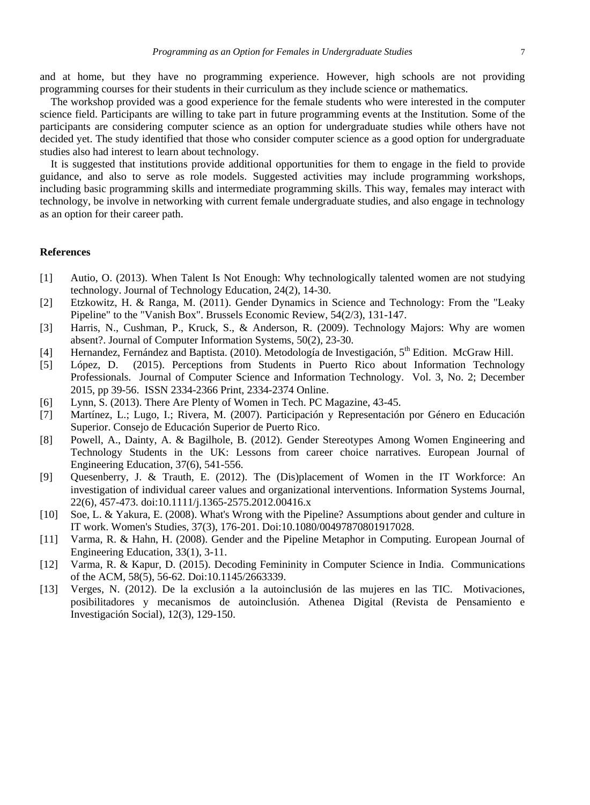and at home, but they have no programming experience. However, high schools are not providing programming courses for their students in their curriculum as they include science or mathematics.

The workshop provided was a good experience for the female students who were interested in the computer science field. Participants are willing to take part in future programming events at the Institution. Some of the participants are considering computer science as an option for undergraduate studies while others have not decided yet. The study identified that those who consider computer science as a good option for undergraduate studies also had interest to learn about technology.

It is suggested that institutions provide additional opportunities for them to engage in the field to provide guidance, and also to serve as role models. Suggested activities may include programming workshops, including basic programming skills and intermediate programming skills. This way, females may interact with technology, be involve in networking with current female undergraduate studies, and also engage in technology as an option for their career path.

## **References**

- [1] Autio, O. (2013). When Talent Is Not Enough: Why technologically talented women are not studying technology. Journal of Technology Education, 24(2), 14-30.
- [2] Etzkowitz, H. & Ranga, M. (2011). Gender Dynamics in Science and Technology: From the "Leaky Pipeline" to the "Vanish Box". Brussels Economic Review, 54(2/3), 131-147.
- [3] Harris, N., Cushman, P., Kruck, S., & Anderson, R. (2009). Technology Majors: Why are women absent?. Journal of Computer Information Systems, 50(2), 23-30.
- [4] Hernandez, Fern ández and Baptista. (2010). Metodolog á de Investigación, 5<sup>th</sup> Edition. McGraw Hill.
- [5] López, D. (2015). Perceptions from Students in Puerto Rico about Information Technology Professionals. Journal of Computer Science and Information Technology. Vol. 3, No. 2; December 2015, pp 39-56. ISSN 2334-2366 Print, 2334-2374 Online.
- [6] Lynn, S. (2013). There Are Plenty of Women in Tech. PC Magazine, 43-45.
- [7] Martínez, L.; Lugo, I.; Rivera, M. (2007). Participación y Representación por Género en Educación Superior. Consejo de Educación Superior de Puerto Rico.
- [8] Powell, A., Dainty, A. & Bagilhole, B. (2012). Gender Stereotypes Among Women Engineering and Technology Students in the UK: Lessons from career choice narratives. European Journal of Engineering Education, 37(6), 541-556.
- [9] Quesenberry, J. & Trauth, E. (2012). The (Dis)placement of Women in the IT Workforce: An investigation of individual career values and organizational interventions. Information Systems Journal, 22(6), 457-473. doi:10.1111/j.1365-2575.2012.00416.x
- [10] Soe, L. & Yakura, E. (2008). What's Wrong with the Pipeline? Assumptions about gender and culture in IT work. Women's Studies, 37(3), 176-201. Doi:10.1080/00497870801917028.
- [11] Varma, R. & Hahn, H. (2008). Gender and the Pipeline Metaphor in Computing. European Journal of Engineering Education, 33(1), 3-11.
- [12] Varma, R. & Kapur, D. (2015). Decoding Femininity in Computer Science in India. Communications of the ACM, 58(5), 56-62. Doi:10.1145/2663339.
- [13] Verges, N. (2012). De la exclusión a la autoinclusión de las mujeres en las TIC. Motivaciones, posibilitadores y mecanismos de autoinclusión. Athenea Digital (Revista de Pensamiento e Investigación Social), 12(3), 129-150.